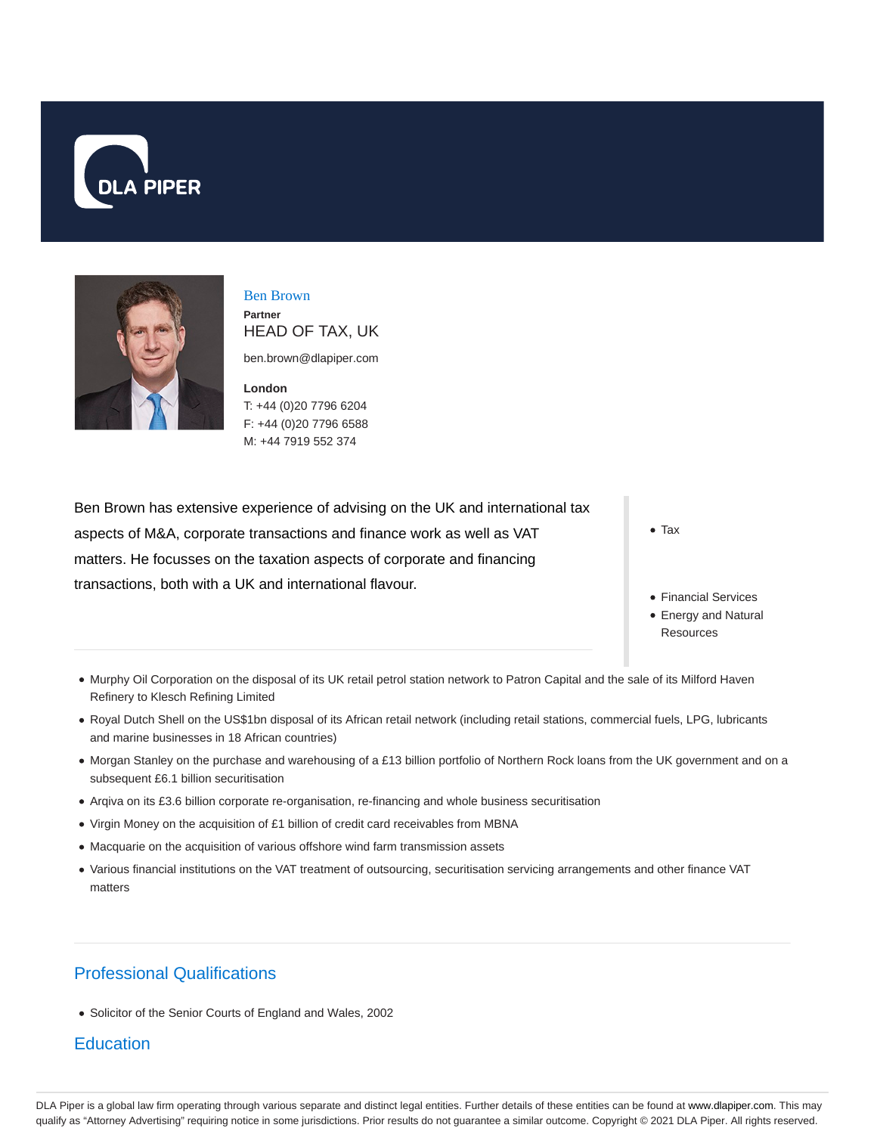



Ben Brown **Partner** HEAD OF TAX, UK

ben.brown@dlapiper.com

**London** T: +44 (0)20 7796 6204 F: +44 (0)20 7796 6588 M: +44 7919 552 374

Ben Brown has extensive experience of advising on the UK and international tax aspects of M&A, corporate transactions and finance work as well as VAT matters. He focusses on the taxation aspects of corporate and financing transactions, both with a UK and international flavour.

Tax

- Financial Services
- Energy and Natural **Resources**
- Murphy Oil Corporation on the disposal of its UK retail petrol station network to Patron Capital and the sale of its Milford Haven Refinery to Klesch Refining Limited
- Royal Dutch Shell on the US\$1bn disposal of its African retail network (including retail stations, commercial fuels, LPG, lubricants and marine businesses in 18 African countries)
- Morgan Stanley on the purchase and warehousing of a £13 billion portfolio of Northern Rock loans from the UK government and on a subsequent £6.1 billion securitisation
- Arqiva on its £3.6 billion corporate re-organisation, re-financing and whole business securitisation
- Virgin Money on the acquisition of £1 billion of credit card receivables from MBNA
- Macquarie on the acquisition of various offshore wind farm transmission assets
- Various financial institutions on the VAT treatment of outsourcing, securitisation servicing arrangements and other finance VAT matters

# Professional Qualifications

Solicitor of the Senior Courts of England and Wales, 2002

## **Education**

DLA Piper is a global law firm operating through various separate and distinct legal entities. Further details of these entities can be found at www.dlapiper.com. This may qualify as "Attorney Advertising" requiring notice in some jurisdictions. Prior results do not guarantee a similar outcome. Copyright © 2021 DLA Piper. All rights reserved.